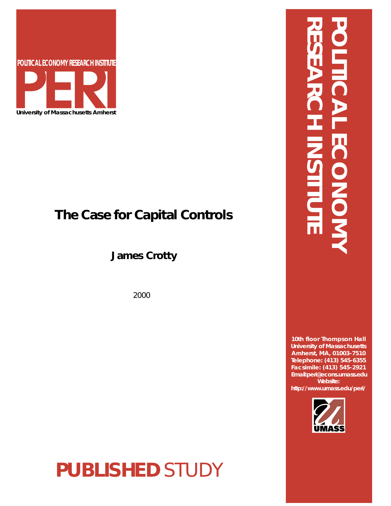

# **The Case for Capital Controls**

**James Crotty**

2000

**PUBLISHED** STUDY

# **RESEARCH INSTITUTE POLITICAL ECONOMY** ECCONON

**10th floor Thompson Hall University of Massachusetts Amherst, MA, 01003-7510 Telephone: (413) 545-6355 Facsimile: (413) 545-2921 Email:peri@econs.umass.edu Website: http://www.umass.edu/peri/**

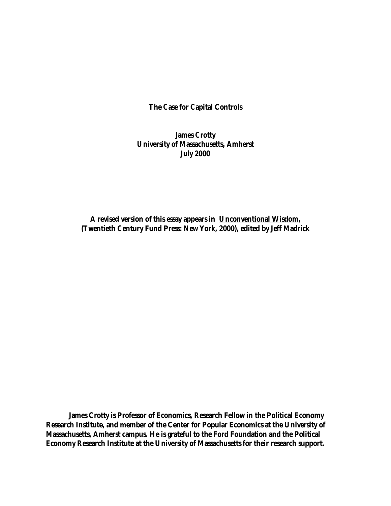**The Case for Capital Controls**

**James Crotty University of Massachusetts, Amherst July 2000**

**A revised version of this essay appears in Unconventional Wisdom, (Twentieth Century Fund Press: New York, 2000), edited by Jeff Madrick**

**James Crotty is Professor of Economics, Research Fellow in the Political Economy Research Institute, and member of the Center for Popular Economics at the University of Massachusetts, Amherst campus. He is grateful to the Ford Foundation and the Political Economy Research Institute at the University of Massachusetts for their research support.**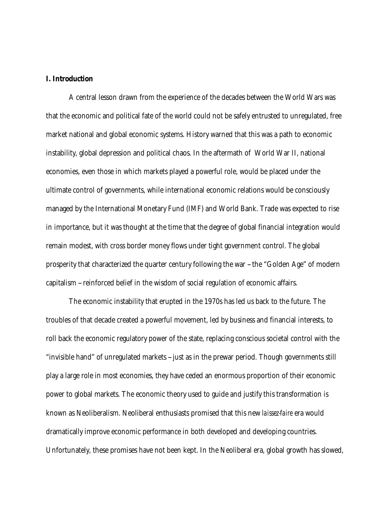#### **I. Introduction**

A central lesson drawn from the experience of the decades between the World Wars was that the economic and political fate of the world could not be safely entrusted to unregulated, free market national and global economic systems. History warned that this was a path to economic instability, global depression and political chaos. In the aftermath of World War II, national economies, even those in which markets played a powerful role, would be placed under the ultimate control of governments, while international economic relations would be consciously managed by the International Monetary Fund (IMF) and World Bank. Trade was expected to rise in importance, but it was thought at the time that the degree of global financial integration would remain modest, with cross border money flows under tight government control. The global prosperity that characterized the quarter century following the war -- the "Golden Age" of modern capitalism -- reinforced belief in the wisdom of social regulation of economic affairs.

The economic instability that erupted in the 1970s has led us back to the future. The troubles of that decade created a powerful movement, led by business and financial interests, to roll back the economic regulatory power of the state, replacing conscious societal control with the "invisible hand" of unregulated markets -- just as in the prewar period. Though governments still play a large role in most economies, they have ceded an enormous proportion of their economic power to global markets. The economic theory used to guide and justify this transformation is known as Neoliberalism. Neoliberal enthusiasts promised that this new *laissez-faire* era would dramatically improve economic performance in both developed and developing countries. Unfortunately, these promises have not been kept. In the Neoliberal era, global growth has slowed,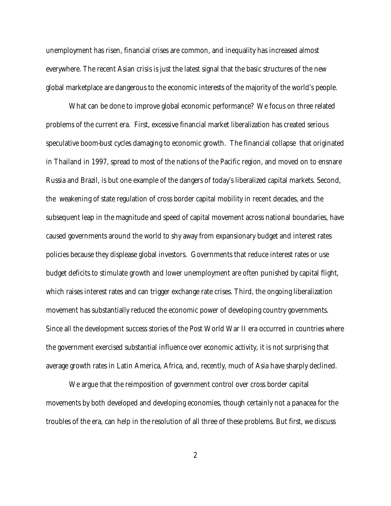unemployment has risen, financial crises are common, and inequality has increased almost everywhere. The recent Asian crisis is just the latest signal that the basic structures of the new global marketplace are dangerous to the economic interests of the majority of the world's people.

What can be done to improve global economic performance? We focus on three related problems of the current era. First, excessive financial market liberalization has created serious speculative boom-bust cycles damaging to economic growth. The financial collapse that originated in Thailand in 1997, spread to most of the nations of the Pacific region, and moved on to ensnare Russia and Brazil, is but one example of the dangers of today's liberalized capital markets. Second, the weakening of state regulation of cross border capital mobility in recent decades, and the subsequent leap in the magnitude and speed of capital movement across national boundaries, have caused governments around the world to shy away from expansionary budget and interest rates policies because they displease global investors. Governments that reduce interest rates or use budget deficits to stimulate growth and lower unemployment are often punished by capital flight, which raises interest rates and can trigger exchange rate crises. Third, the ongoing liberalization movement has substantially reduced the economic power of developing country governments. Since all the development success stories of the Post World War II era occurred in countries where the government exercised substantial influence over economic activity, it is not surprising that average growth rates in Latin America, Africa, and, recently, much of Asia have sharply declined.

We argue that the reimposition of government control over cross border capital movements by both developed and developing economies, though certainly not a panacea for the troubles of the era, can help in the resolution of all three of these problems. But first, we discuss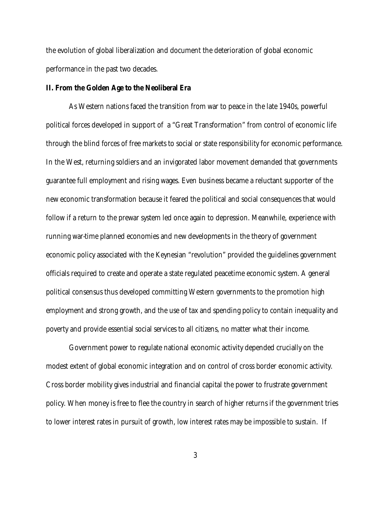the evolution of global liberalization and document the deterioration of global economic performance in the past two decades.

#### **II. From the Golden Age to the Neoliberal Era**

As Western nations faced the transition from war to peace in the late 1940s, powerful political forces developed in support of a "Great Transformation" from control of economic life through the blind forces of free markets to social or state responsibility for economic performance. In the West, returning soldiers and an invigorated labor movement demanded that governments guarantee full employment and rising wages. Even business became a reluctant supporter of the new economic transformation because it feared the political and social consequences that would follow if a return to the prewar system led once again to depression. Meanwhile, experience with running war-time planned economies and new developments in the theory of government economic policy associated with the Keynesian "revolution" provided the guidelines government officials required to create and operate a state regulated peacetime economic system. A general political consensus thus developed committing Western governments to the promotion high employment and strong growth, and the use of tax and spending policy to contain inequality and poverty and provide essential social services to all citizens, no matter what their income.

Government power to regulate national economic activity depended crucially on the modest extent of global economic integration and on control of cross border economic activity. Cross border mobility gives industrial and financial capital the power to frustrate government policy. When money is free to flee the country in search of higher returns if the government tries to lower interest rates in pursuit of growth, low interest rates may be impossible to sustain. If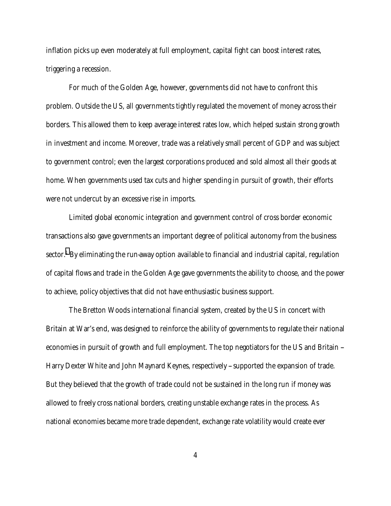inflation picks up even moderately at full employment, capital fight can boost interest rates, triggering a recession.

For much of the Golden Age, however, governments did not have to confront this problem. Outside the US, all governments tightly regulated the movement of money across their borders. This allowed them to keep average interest rates low, which helped sustain strong growth in investment and income. Moreover, trade was a relatively small percent of GDP and was subject to government control; even the largest corporations produced and sold almost all their goods at home. When governments used tax cuts and higher spending in pursuit of growth, their efforts were not undercut by an excessive rise in imports.

Limited global economic integration and government control of cross border economic transactions also gave governments an important degree of political autonomy from the business sector. $^{\rm 1}$  $^{\rm 1}$  $^{\rm 1}$  By eliminating the run-away option available to financial and industrial capital, regulation of capital flows and trade in the Golden Age gave governments the ability to choose, and the power to achieve, policy objectives that did not have enthusiastic business support.

The Bretton Woods international financial system, created by the US in concert with Britain at War's end, was designed to reinforce the ability of governments to regulate their national economies in pursuit of growth and full employment. The top negotiators for the US and Britain --Harry Dexter White and John Maynard Keynes, respectively - supported the expansion of trade. But they believed that the growth of trade could not be sustained in the long run if money was allowed to freely cross national borders, creating unstable exchange rates in the process. As national economies became more trade dependent, exchange rate volatility would create ever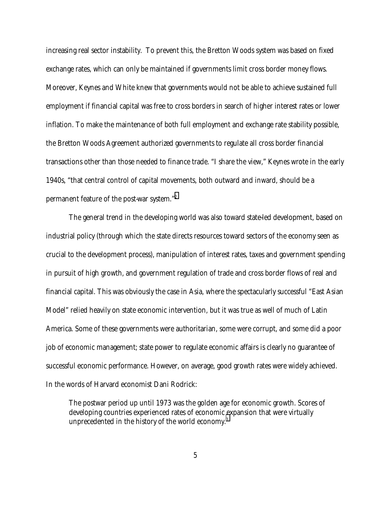increasing real sector instability. To prevent this, the Bretton Woods system was based on fixed exchange rates, which can only be maintained if governments limit cross border money flows. Moreover, Keynes and White knew that governments would not be able to achieve sustained full employment if financial capital was free to cross borders in search of higher interest rates or lower inflation. To make the maintenance of both full employment and exchange rate stability possible, the Bretton Woods Agreement authorized governments to regulate all cross border financial transactions other than those needed to finance trade. "I share the view," Keynes wrote in the early 1940s, "that central control of capital movements, both outward and inward, should be a permanent feature of the post-war system."[2](#page-29-0)

The general trend in the developing world was also toward state-led development, based on industrial policy (through which the state directs resources toward sectors of the economy seen as crucial to the development process), manipulation of interest rates, taxes and government spending in pursuit of high growth, and government regulation of trade and cross border flows of real and financial capital. This was obviously the case in Asia, where the spectacularly successful "East Asian Model" relied heavily on state economic intervention, but it was true as well of much of Latin America. Some of these governments were authoritarian, some were corrupt, and some did a poor job of economic management; state power to regulate economic affairs is clearly no guarantee of successful economic performance. However, on average, good growth rates were widely achieved. In the words of Harvard economist Dani Rodrick:

The postwar period up until 1973 was the golden age for economic growth. Scores of developing countries experienced rates of economic expansion that were virtually unprecedented in the history of the world economy.<sup>3</sup>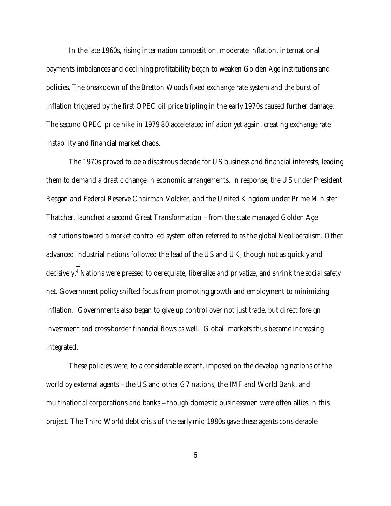In the late 1960s, rising inter-nation competition, moderate inflation, international payments imbalances and declining profitability began to weaken Golden Age institutions and policies. The breakdown of the Bretton Woods fixed exchange rate system and the burst of inflation triggered by the first OPEC oil price tripling in the early 1970s caused further damage. The second OPEC price hike in 1979-80 accelerated inflation yet again, creating exchange rate instability and financial market chaos.

The 1970s proved to be a disastrous decade for US business and financial interests, leading them to demand a drastic change in economic arrangements. In response, the US under President Reagan and Federal Reserve Chairman Volcker, and the United Kingdom under Prime Minister Thatcher, launched a second Great Transformation -- from the state managed Golden Age institutions toward a market controlled system often referred to as the global Neoliberalism. Other advanced industrial nations followed the lead of the US and UK, though not as quickly and decisively[.4](#page-29-0) Nations were pressed to deregulate, liberalize and privatize, and shrink the social safety net. Government policy shifted focus from promoting growth and employment to minimizing inflation. Governments also began to give up control over not just trade, but direct foreign investment and cross-border financial flows as well. Global markets thus became increasing integrated.

These policies were, to a considerable extent, imposed on the developing nations of the world by external agents -- the US and other G7 nations, the IMF and World Bank, and multinational corporations and banks -- though domestic businessmen were often allies in this project. The Third World debt crisis of the early-mid 1980s gave these agents considerable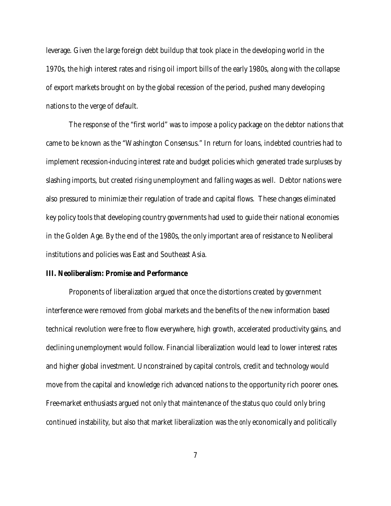leverage. Given the large foreign debt buildup that took place in the developing world in the 1970s, the high interest rates and rising oil import bills of the early 1980s, along with the collapse of export markets brought on by the global recession of the period, pushed many developing nations to the verge of default.

The response of the "first world" was to impose a policy package on the debtor nations that came to be known as the "Washington Consensus." In return for loans, indebted countries had to implement recession-inducing interest rate and budget policies which generated trade surpluses by slashing imports, but created rising unemployment and falling wages as well. Debtor nations were also pressured to minimize their regulation of trade and capital flows. These changes eliminated key policy tools that developing country governments had used to guide their national economies in the Golden Age. By the end of the 1980s, the only important area of resistance to Neoliberal institutions and policies was East and Southeast Asia.

#### **III. Neoliberalism: Promise and Performance**

Proponents of liberalization argued that once the distortions created by government interference were removed from global markets and the benefits of the new information based technical revolution were free to flow everywhere, high growth, accelerated productivity gains, and declining unemployment would follow. Financial liberalization would lead to lower interest rates and higher global investment. Unconstrained by capital controls, credit and technology would move from the capital and knowledge rich advanced nations to the opportunity rich poorer ones. Free-market enthusiasts argued not only that maintenance of the status quo could only bring continued instability, but also that market liberalization was the *only* economically and politically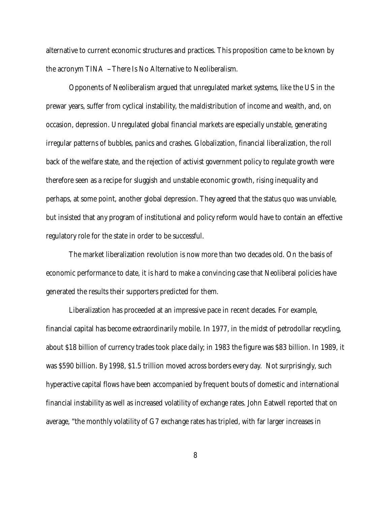alternative to current economic structures and practices. This proposition came to be known by the acronym TINA -- There Is No Alternative to Neoliberalism.

Opponents of Neoliberalism argued that unregulated market systems, like the US in the prewar years, suffer from cyclical instability, the maldistribution of income and wealth, and, on occasion, depression. Unregulated global financial markets are especially unstable, generating irregular patterns of bubbles, panics and crashes. Globalization, financial liberalization, the roll back of the welfare state, and the rejection of activist government policy to regulate growth were therefore seen as a recipe for sluggish and unstable economic growth, rising inequality and perhaps, at some point, another global depression. They agreed that the status quo was unviable, but insisted that any program of institutional and policy reform would have to contain an effective regulatory role for the state in order to be successful.

The market liberalization revolution is now more than two decades old. On the basis of economic performance to date, it is hard to make a convincing case that Neoliberal policies have generated the results their supporters predicted for them.

Liberalization has proceeded at an impressive pace in recent decades. For example, financial capital has become extraordinarily mobile. In 1977, in the midst of petrodollar recycling, about \$18 billion of currency trades took place daily; in 1983 the figure was \$83 billion. In 1989, it was \$590 billion. By 1998, \$1.5 trillion moved across borders every day. Not surprisingly, such hyperactive capital flows have been accompanied by frequent bouts of domestic and international financial instability as well as increased volatility of exchange rates. John Eatwell reported that on average, "the monthly volatility of G7 exchange rates has tripled, with far larger increases in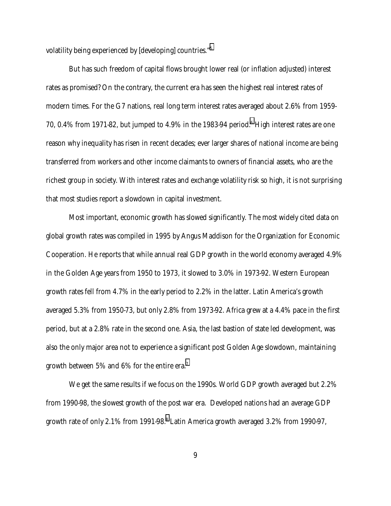volatility being experienced by [developing] countries.["5](#page-29-0)

But has such freedom of capital flows brought lower real (or inflation adjusted) interest rates as promised? On the contrary, the current era has seen the highest real interest rates of modern times. For the G7 nations, real long term interest rates averaged about 2.6% from 1959- 70, 0.4% from 1971-82, but jumped to 4.9% in the 1983-94 period.<sup>6</sup> High interest rates are one reason why inequality has risen in recent decades; ever larger shares of national income are being transferred from workers and other income claimants to owners of financial assets, who are the richest group in society. With interest rates and exchange volatility risk so high, it is not surprising that most studies report a slowdown in capital investment.

Most important, economic growth has slowed significantly. The most widely cited data on global growth rates was compiled in 1995 by Angus Maddison for the Organization for Economic Cooperation. He reports that while annual real GDP growth in the world economy averaged 4.9% in the Golden Age years from 1950 to 1973, it slowed to 3.0% in 1973-92. Western European growth rates fell from 4.7% in the early period to 2.2% in the latter. Latin America's growth averaged 5.3% from 1950-73, but only 2.8% from 1973-92. Africa grew at a 4.4% pace in the first period, but at a 2.8% rate in the second one. Asia, the last bastion of state led development, was also the only major area not to experience a significant post Golden Age slowdown, maintaining growth between 5% and 6% for the entire era.<sup>7</sup>

We get the same results if we focus on the 1990s. World GDP growth averaged but 2.2% from 1990-98, the slowest growth of the post war era. Developed nations had an average GDP growth rate of only 2.1% from 1991-9[8](#page-29-0). $^8$  Latin America growth averaged 3.2% from 1990-97,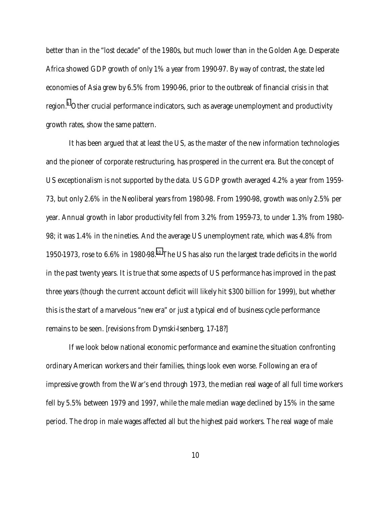better than in the "lost decade" of the 1980s, but much lower than in the Golden Age. Desperate Africa showed GDP growth of only 1% a year from 1990-97. By way of contrast, the state led economies of Asia grew by 6.5% from 1990-96, prior to the outbreak of financial crisis in that region.<sup>[9](#page-29-0)</sup> Other crucial performance indicators, such as average unemployment and productivity growth rates, show the same pattern.

It has been argued that at least the US, as the master of the new information technologies and the pioneer of corporate restructuring, has prospered in the current era. But the concept of US exceptionalism is not supported by the data. US GDP growth averaged 4.2% a year from 1959- 73, but only 2.6% in the Neoliberal years from 1980-98. From 1990-98, growth was only 2.5% per year. Annual growth in labor productivity fell from 3.2% from 1959-73, to under 1.3% from 1980- 98; it was 1.4% in the nineties. And the average US unemployment rate, which was 4.8% from 1950-1973, rose to 6.6% in 1980-98[.10 T](#page-29-0)he US has also run the largest trade deficits in the world in the past twenty years. It is true that some aspects of US performance has improved in the past three years (though the current account deficit will likely hit \$300 billion for 1999), but whether this is the start of a marvelous "new era" or just a typical end of business cycle performance remains to be seen. [revisions from Dymski-Isenberg, 17-18?]

If we look below national economic performance and examine the situation confronting ordinary American workers and their families, things look even worse. Following an era of impressive growth from the War's end through 1973, the median real wage of all full time workers fell by 5.5% between 1979 and 1997, while the male median wage declined by 15% in the same period. The drop in male wages affected all but the highest paid workers. The real wage of male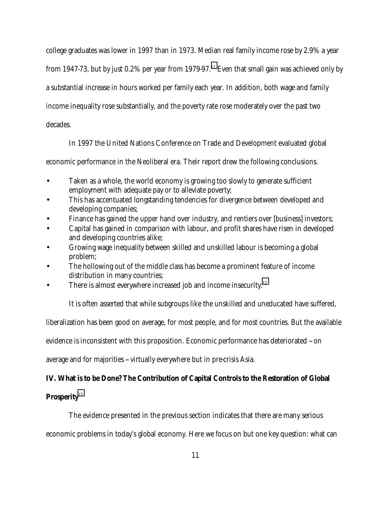college graduates was lower in 1997 than in 1973. Median real family income rose by 2.9% a year from 1947-73, but by just 0.2% per year from 1979-97.<sup>11</sup> Even that small gain was achieved only by a substantial increase in hours worked per family each year. In addition, both wage and family income inequality rose substantially, and the poverty rate rose moderately over the past two decades.

In 1997 the United Nations Conference on Trade and Development evaluated global

economic performance in the Neoliberal era. Their report drew the following conclusions.

- Taken as a whole, the world economy is growing too slowly to generate sufficient employment with adequate pay or to alleviate poverty;
- This has accentuated longstanding tendencies for divergence between developed and developing companies;
- Finance has gained the upper hand over industry, and rentiers over [business] investors;
- Capital has gained in comparison with labour, and profit shares have risen in developed and developing countries alike;
- Growing wage inequality between skilled and unskilled labour is becoming a global problem;
- The hollowing out of the middle class has become a prominent feature of income distribution in many countries;
- There is almost everywhere increased job and income insecurity. $12$

It is often asserted that while subgroups like the unskilled and uneducated have suffered,

liberalization has been good on average, for most people, and for most countries. But the available

evidence is inconsistent with this proposition. Economic performance has deteriorated -- on

average and for majorities -- virtually everywhere but in pre-crisis Asia.

# **IV. What is to be Done? The Contribution of Capital Controls to the Restoration of Global**

# **Prosperity**[13](#page-29-0)

The evidence presented in the previous section indicates that there are many serious

economic problems in today's global economy. Here we focus on but one key question: what can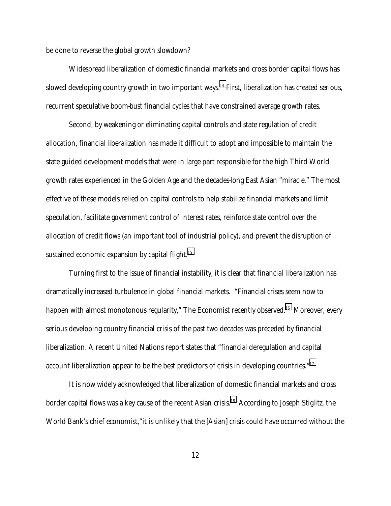be done to reverse the global growth slowdown?

Widespread liberalization of domestic financial markets and cross border capital flows has slowed developing country growth in two important ways.<sup>14</sup> First, liberalization has created serious, recurrent speculative boom-bust financial cycles that have constrained average growth rates.

Second, by weakening or eliminating capital controls and state regulation of credit allocation, financial liberalization has made it difficult to adopt and impossible to maintain the state guided development models that were in large part responsible for the high Third World growth rates experienced in the Golden Age and the decades-long East Asian "miracle." The most effective of these models relied on capital controls to help stabilize financial markets and limit speculation, facilitate government control of interest rates, reinforce state control over the allocation of credit flows (an important tool of industrial policy), and prevent the disruption of sustained economic expansion by capital flight.<sup>[15](#page-29-0)</sup>

Turning first to the issue of financial instability, it is clear that financial liberalization has dramatically increased turbulence in global financial markets. "Financial crises seem now to happen with almost monotonous regularity," The Economist recently observed.<sup>16</sup> Moreover, every serious developing country financial crisis of the past two decades was preceded by financial liberalization. A recent United Nations report states that "financial deregulation and capital account liberalization appear to be the best predictors of crisis in developing countries."<sup>17</sup>

It is now widely acknowledged that liberalization of domestic financial markets and cross border capital flows was a key cause of the recent Asian crisis.<sup>18</sup> According to Joseph Stiglitz, the World Bank's chief economist, "it is unlikely that the [Asian] crisis could have occurred without the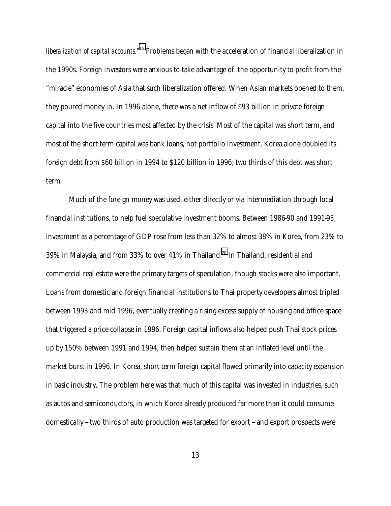*liberalization of capital accounts."[19](#page-29-0)* Problems began with the acceleration of financial liberalization in the 1990s. Foreign investors were anxious to take advantage of the opportunity to profit from the "miracle" economies of Asia that such liberalization offered. When Asian markets opened to them, they poured money in. In 1996 alone, there was a net inflow of \$93 billion in private foreign capital into the five countries most affected by the crisis. Most of the capital was short term, and most of the short term capital was bank loans, not portfolio investment. Korea alone doubled its foreign debt from \$60 billion in 1994 to \$120 billion in 1996; two thirds of this debt was short term.

Much of the foreign money was used, either directly or via intermediation through local financial institutions, to help fuel speculative investment booms. Between 1986-90 and 1991-95, investment as a percentage of GDP rose from less than 32% to almost 38% in Korea, from 23% to 39% in Malaysia, and from 33% to over 41% in Thailand.<sup>20</sup> In Thailand, residential and commercial real estate were the primary targets of speculation, though stocks were also important. Loans from domestic and foreign financial institutions to Thai property developers almost tripled between 1993 and mid 1996, eventually creating a rising excess supply of housing and office space that triggered a price collapse in 1996. Foreign capital inflows also helped push Thai stock prices up by 150% between 1991 and 1994, then helped sustain them at an inflated level until the market burst in 1996. In Korea, short term foreign capital flowed primarily into capacity expansion in basic industry. The problem here was that much of this capital was invested in industries, such as autos and semiconductors, in which Korea already produced far more than it could consume domestically -- two thirds of auto production was targeted for export -- and export prospects were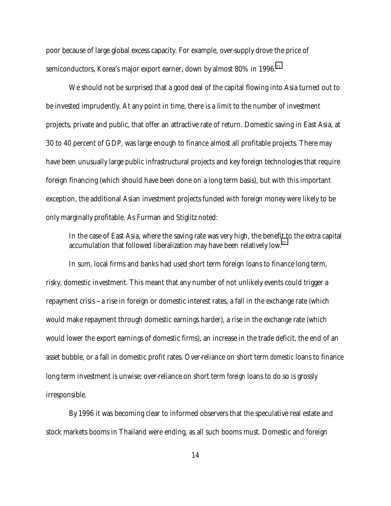poor because of large global excess capacity. For example, over-supply drove the price of semiconductors, Korea's major export earner, down by almost  $80\%$  in 1996.<sup>21</sup>

We should not be surprised that a good deal of the capital flowing into Asia turned out to be invested imprudently. At any point in time, there is a limit to the number of investment projects, private and public, that offer an attractive rate of return. Domestic saving in East Asia, at 30 to 40 percent of GDP, was large enough to finance almost all profitable projects. There may have been unusually large public infrastructural projects and key foreign technologies that require foreign financing (which should have been done on a long term basis), but with this important exception, the additional Asian investment projects funded with foreign money were likely to be only marginally profitable. As Furman and Stiglitz noted:

In the case of East Asia, where the saving rate was very high, the benefit to the extra capital accumulation that followed liberalization may have been relatively low.<sup>22</sup>

In sum, local firms and banks had used short term foreign loans to finance long term, risky, domestic investment. This meant that any number of not unlikely events could trigger a repayment crisis -- a rise in foreign or domestic interest rates, a fall in the exchange rate (which would make repayment through domestic earnings harder), a rise in the exchange rate (which would lower the export earnings of domestic firms), an increase in the trade deficit, the end of an asset bubble, or a fall in domestic profit rates. Over-reliance on short term *domestic* loans to finance long term investment is unwise; over-reliance on short term *foreign* loans to do so is grossly irresponsible.

By 1996 it was becoming clear to informed observers that the speculative real estate and stock markets booms in Thailand were ending, as all such booms must. Domestic and foreign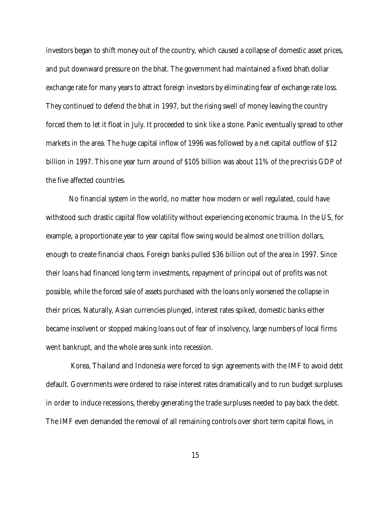investors began to shift money out of the country, which caused a collapse of domestic asset prices, and put downward pressure on the bhat. The government had maintained a fixed bhat\dollar exchange rate for many years to attract foreign investors by eliminating fear of exchange rate loss. They continued to defend the bhat in 1997, but the rising swell of money leaving the country forced them to let it float in July. It proceeded to sink like a stone. Panic eventually spread to other markets in the area. The huge capital inflow of 1996 was followed by a net capital outflow of \$12 billion in 1997. This one year turn around of \$105 billion was about 11% of the pre-crisis GDP of the five affected countries.

No financial system in the world, no matter how modern or well regulated, could have withstood such drastic capital flow volatility without experiencing economic trauma. In the US, for example, a proportionate year to year capital flow swing would be almost one trillion dollars, enough to create financial chaos. Foreign banks pulled \$36 billion out of the area in 1997. Since their loans had financed long term investments, repayment of principal out of profits was not possible, while the forced sale of assets purchased with the loans only worsened the collapse in their prices. Naturally, Asian currencies plunged, interest rates spiked, domestic banks either became insolvent or stopped making loans out of fear of insolvency, large numbers of local firms went bankrupt, and the whole area sunk into recession.

 Korea, Thailand and Indonesia were forced to sign agreements with the IMF to avoid debt default. Governments were ordered to raise interest rates dramatically and to run budget surpluses in order to induce recessions, thereby generating the trade surpluses needed to pay back the debt. The IMF even demanded the removal of all remaining controls over short term capital flows, in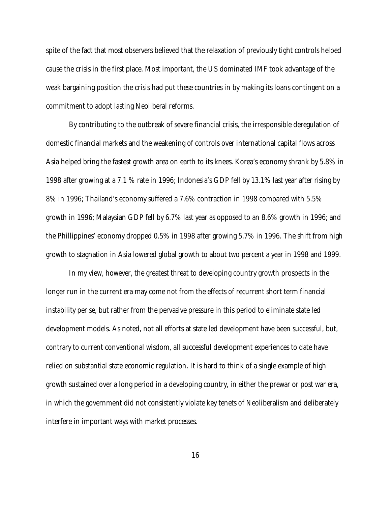spite of the fact that most observers believed that the relaxation of previously tight controls helped cause the crisis in the first place. Most important, the US dominated IMF took advantage of the weak bargaining position the crisis had put these countries in by making its loans contingent on a commitment to adopt lasting Neoliberal reforms.

By contributing to the outbreak of severe financial crisis, the irresponsible deregulation of domestic financial markets and the weakening of controls over international capital flows across Asia helped bring the fastest growth area on earth to its knees. Korea's economy shrank by 5.8% in 1998 after growing at a 7.1 % rate in 1996; Indonesia's GDP fell by 13.1% last year after rising by 8% in 1996; Thailand's economy suffered a 7.6% contraction in 1998 compared with 5.5% growth in 1996; Malaysian GDP fell by 6.7% last year as opposed to an 8.6% growth in 1996; and the Phillippines' economy dropped 0.5% in 1998 after growing 5.7% in 1996. The shift from high growth to stagnation in Asia lowered global growth to about two percent a year in 1998 and 1999.

In my view, however, the greatest threat to developing country growth prospects in the longer run in the current era may come not from the effects of recurrent short term financial instability per se, but rather from the pervasive pressure in this period to eliminate state led development models. As noted, not all efforts at state led development have been successful, but, contrary to current conventional wisdom, all successful development experiences to date have relied on substantial state economic regulation. It is hard to think of a single example of high growth sustained over a long period in a developing country, in either the prewar or post war era, in which the government did not consistently violate key tenets of Neoliberalism and deliberately interfere in important ways with market processes.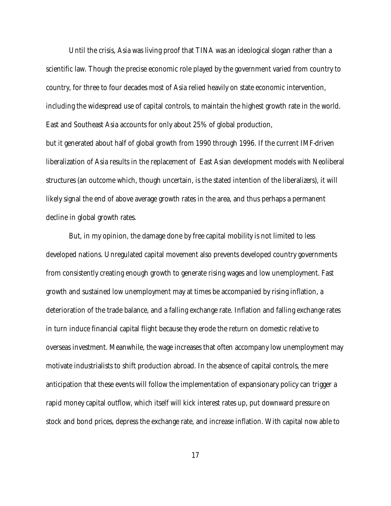Until the crisis, Asia was living proof that TINA was an ideological slogan rather than a scientific law. Though the precise economic role played by the government varied from country to country, for three to four decades most of Asia relied heavily on state economic intervention, including the widespread use of capital controls, to maintain the highest growth rate in the world. East and Southeast Asia accounts for only about 25% of global production,

but it generated about half of global growth from 1990 through 1996. If the current IMF-driven liberalization of Asia results in the replacement of East Asian development models with Neoliberal structures (an outcome which, though uncertain, is the stated intention of the liberalizers), it will likely signal the end of above average growth rates in the area, and thus perhaps a permanent decline in global growth rates.

But, in my opinion, the damage done by free capital mobility is not limited to less developed nations. Unregulated capital movement also prevents developed country governments from consistently creating enough growth to generate rising wages and low unemployment. Fast growth and sustained low unemployment may at times be accompanied by rising inflation, a deterioration of the trade balance, and a falling exchange rate. Inflation and falling exchange rates in turn induce financial capital flight because they erode the return on domestic relative to overseas investment. Meanwhile, the wage increases that often accompany low unemployment may motivate industrialists to shift production abroad. In the absence of capital controls, the mere anticipation that these events will follow the implementation of expansionary policy can trigger a rapid money capital outflow, which itself will kick interest rates up, put downward pressure on stock and bond prices, depress the exchange rate, and increase inflation. With capital now able to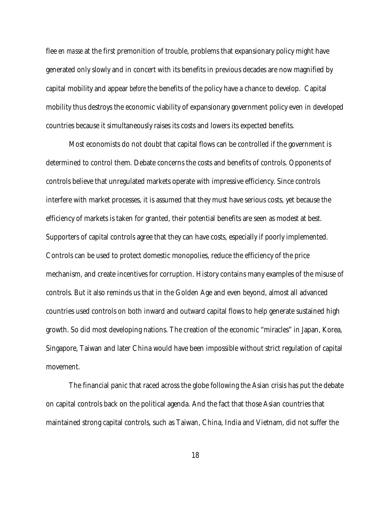flee *en masse* at the first premonition of trouble, problems that expansionary policy might have generated only slowly and in concert with its benefits in previous decades are now magnified by capital mobility and appear *before* the benefits of the policy have a chance to develop. Capital mobility thus destroys the economic viability of expansionary government policy even in developed countries because it simultaneously raises its costs and lowers its expected benefits.

Most economists do not doubt that capital flows can be controlled if the government is determined to control them. Debate concerns the costs and benefits of controls. Opponents of controls believe that unregulated markets operate with impressive efficiency. Since controls interfere with market processes, it is assumed that they must have serious costs, yet because the efficiency of markets is taken for granted, their potential benefits are seen as modest at best. Supporters of capital controls agree that they can have costs, especially if poorly implemented. Controls can be used to protect domestic monopolies, reduce the efficiency of the price mechanism, and create incentives for corruption. History contains many examples of the misuse of controls. But it also reminds us that in the Golden Age and even beyond, almost all advanced countries used controls on both inward and outward capital flows to help generate sustained high growth. So did most developing nations. The creation of the economic "miracles" in Japan, Korea, Singapore, Taiwan and later China would have been impossible without strict regulation of capital movement.

The financial panic that raced across the globe following the Asian crisis has put the debate on capital controls back on the political agenda. And the fact that those Asian countries that maintained strong capital controls, such as Taiwan, China, India and Vietnam, did not suffer the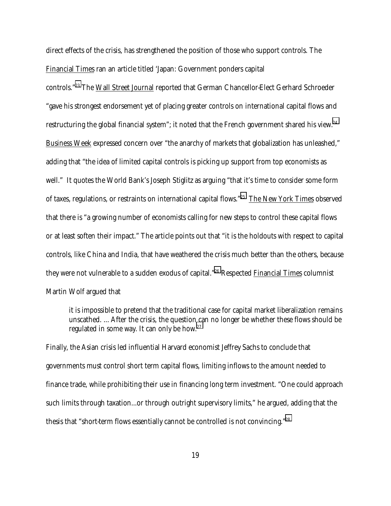direct effects of the crisis, has strengthened the position of those who support controls. The Financial Times ran an article titled 'Japan: Government ponders capital

controls.["23](#page-29-0) The Wall Street Journal reported that German Chancellor-Elect Gerhard Schroeder "gave his strongest endorsement yet of placing greater controls on international capital flows and restructuring the global financial system"; it noted that the French government shared his view.<sup>24</sup> Business Week expressed concern over "the anarchy of markets that globalization has unleashed," adding that "the idea of limited capital controls is picking up support from top economists as well." It quotes the World Bank's Joseph Stiglitz as arguing "that it's time to consider some form of taxes, regulations, or restraints on international capital flows."<sup>25</sup> The New York Times observed that there is "a growing number of economists calling for new steps to control these capital flows or at least soften their impact." The article points out that "it is the holdouts with respect to capital controls, like China and India, that have weathered the crisis much better than the others, because they were not vulnerable to a sudden exodus of capital."<sup>26</sup> Respected Financial Times columnist Martin Wolf argued that

it is impossible to pretend that the traditional case for capital market liberalization remains unscathed. ... After the crisis, the question can no longer be whether these flows should be regulated in some way. It can only be how.<sup>27</sup>

Finally, the Asian crisis led influential Harvard economist Jeffrey Sachs to conclude that governments must control short term capital flows, limiting inflows to the amount needed to finance trade, while prohibiting their use in financing long term investment. "One could approach such limits through taxation...or through outright supervisory limits," he argued, adding that the thesis that "short-term flows essentially cannot be controlled is not convincing.["28](#page-29-0)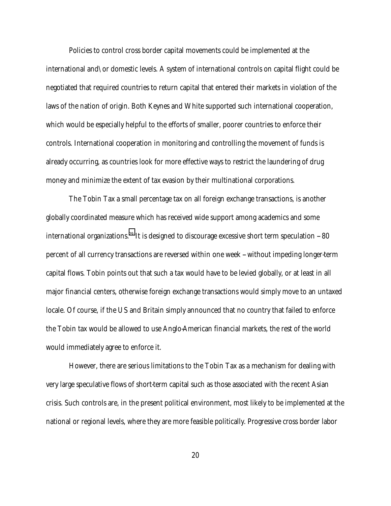Policies to control cross border capital movements could be implemented at the international and\or domestic levels. A system of international controls on capital flight could be negotiated that required countries to return capital that entered their markets in violation of the laws of the nation of origin. Both Keynes and White supported such international cooperation, which would be especially helpful to the efforts of smaller, poorer countries to enforce their controls. International cooperation in monitoring and controlling the movement of funds is already occurring, as countries look for more effective ways to restrict the laundering of drug money and minimize the extent of tax evasion by their multinational corporations.

The Tobin Tax a small percentage tax on all foreign exchange transactions, is another globally coordinated measure which has received wide support among academics and some international organizations.<sup>29</sup> It is designed to discourage excessive short term speculation  $-80$ percent of all currency transactions are reversed within one week -- without impeding longer-term capital flows. Tobin points out that such a tax would have to be levied globally, or at least in all major financial centers, otherwise foreign exchange transactions would simply move to an untaxed locale. Of course, if the US and Britain simply announced that no country that failed to enforce the Tobin tax would be allowed to use Anglo-American financial markets, the rest of the world would immediately agree to enforce it.

However, there are serious limitations to the Tobin Tax as a mechanism for dealing with very large speculative flows of short-term capital such as those associated with the recent Asian crisis. Such controls are, in the present political environment, most likely to be implemented at the national or regional levels, where they are more feasible politically. Progressive cross border labor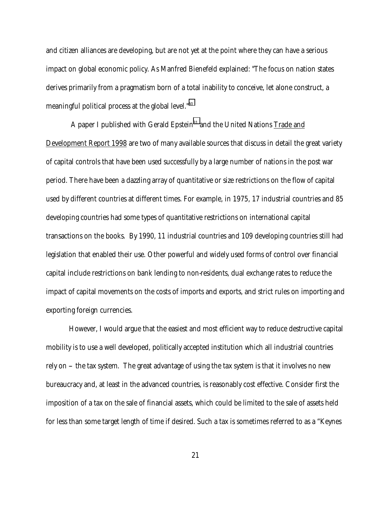and citizen alliances are developing, but are not yet at the point where they can have a serious impact on global economic policy. As Manfred Bienefeld explained: "The focus on nation states derives primarily from a pragmatism born of a total inability to conceive, let alone construct, a meaningful political process at the global level."[30](#page-29-0)

A paper I published with Gerald Epstein<sup>31</sup> and the United Nations Trade and Development Report 1998 are two of many available sources that discuss in detail the great variety of capital controls that have been used successfully by a large number of nations in the post war period. There have been a dazzling array of quantitative or size restrictions on the flow of capital used by different countries at different times. For example, in 1975, 17 industrial countries and 85 developing countries had some types of quantitative restrictions on international capital transactions on the books. By 1990, 11 industrial countries and 109 developing countries still had legislation that enabled their use. Other powerful and widely used forms of control over financial capital include restrictions on bank lending to non-residents, dual exchange rates to reduce the impact of capital movements on the costs of imports and exports, and strict rules on importing and exporting foreign currencies.

However, I would argue that the easiest and most efficient way to reduce destructive capital mobility is to use a well developed, politically accepted institution which all industrial countries rely on -- the tax system. The great advantage of using the tax system is that it involves no new bureaucracy and, at least in the advanced countries, is reasonably cost effective. Consider first the imposition of a tax on the sale of financial assets, which could be limited to the sale of assets held for less than some target length of time if desired. Such a tax is sometimes referred to as a "Keynes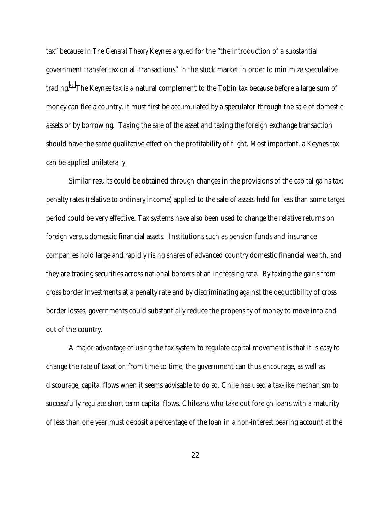tax" because in *The General Theory* Keynes argued for the "the introduction of a substantial government transfer tax on all transactions" in the stock market in order to minimize speculative trading.[32](#page-29-0) The Keynes tax is a natural complement to the Tobin tax because before a large sum of money can flee a country, it must first be accumulated by a speculator through the sale of domestic assets or by borrowing. Taxing the sale of the asset and taxing the foreign exchange transaction should have the same qualitative effect on the profitability of flight. Most important, a Keynes tax can be applied unilaterally.

Similar results could be obtained through changes in the provisions of the capital gains tax: penalty rates (relative to ordinary income) applied to the sale of assets held for less than some target period could be very effective. Tax systems have also been used to change the relative returns on foreign versus domestic financial assets. Institutions such as pension funds and insurance companies hold large and rapidly rising shares of advanced country domestic financial wealth, and they are trading securities across national borders at an increasing rate. By taxing the gains from cross border investments at a penalty rate and by discriminating against the deductibility of cross border losses, governments could substantially reduce the propensity of money to move into and out of the country.

A major advantage of using the tax system to regulate capital movement is that it is easy to change the rate of taxation from time to time; the government can thus encourage, as well as discourage, capital flows when it seems advisable to do so. Chile has used a tax-like mechanism to successfully regulate short term capital flows. Chileans who take out foreign loans with a maturity of less than one year must deposit a percentage of the loan in a non-interest bearing account at the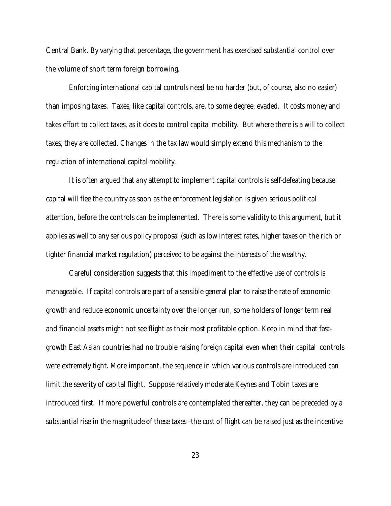Central Bank. By varying that percentage, the government has exercised substantial control over the volume of short term foreign borrowing.

Enforcing international capital controls need be no harder (but, of course, also no easier) than imposing taxes. Taxes, like capital controls, are, to some degree, evaded. It costs money and takes effort to collect taxes, as it does to control capital mobility. But where there is a will to collect taxes, they are collected. Changes in the tax law would simply extend this mechanism to the regulation of international capital mobility.

It is often argued that any attempt to implement capital controls is self-defeating because capital will flee the country as soon as the enforcement legislation is given serious political attention, before the controls can be implemented. There is some validity to this argument, but it applies as well to any serious policy proposal (such as low interest rates, higher taxes on the rich or tighter financial market regulation) perceived to be against the interests of the wealthy.

Careful consideration suggests that this impediment to the effective use of controls is manageable. If capital controls are part of a sensible general plan to raise the rate of economic growth and reduce economic uncertainty over the longer run, some holders of longer term real and financial assets might not see flight as their most profitable option. Keep in mind that fastgrowth East Asian countries had no trouble raising foreign capital even when their capital controls were extremely tight. More important, the sequence in which various controls are introduced can limit the severity of capital flight. Suppose relatively moderate Keynes and Tobin taxes are introduced first. If more powerful controls are contemplated thereafter, they can be preceded by a substantial rise in the magnitude of these taxes -the cost of flight can be raised just as the incentive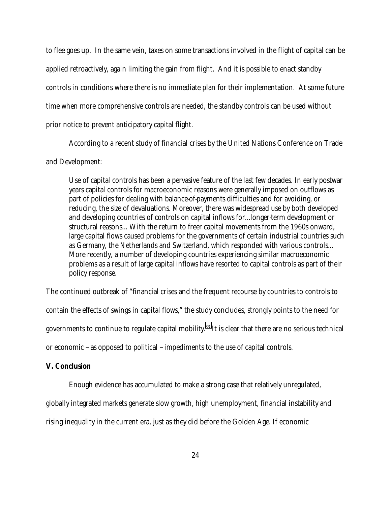to flee goes up. In the same vein, taxes on some transactions involved in the flight of capital can be applied retroactively, again limiting the gain from flight. And it is possible to enact standby controls in conditions where there is no immediate plan for their implementation. At some future time when more comprehensive controls are needed, the standby controls can be used without prior notice to prevent anticipatory capital flight.

According to a recent study of financial crises by the United Nations Conference on Trade

# and Development:

Use of capital controls has been a pervasive feature of the last few decades. In early postwar years capital controls for macroeconomic reasons were generally imposed on outflows as part of policies for dealing with balance-of-payments difficulties and for avoiding, or reducing, the size of devaluations. Moreover, there was widespread use by both developed and developing countries of controls on capital inflows for...longer-term development or structural reasons... With the return to freer capital movements from the 1960s onward, large capital flows caused problems for the governments of certain industrial countries such as Germany, the Netherlands and Switzerland, which responded with various controls... More recently, a number of developing countries experiencing similar macroeconomic problems as a result of large capital inflows have resorted to capital controls as part of their policy response.

The continued outbreak of "financial crises and the frequent recourse by countries to controls to contain the effects of swings in capital flows," the study concludes, strongly points to the need for governments to continue to regulate capital mobility[.33](#page-29-0) It is clear that there are no serious technical or economic -- as opposed to political -- impediments to the use of capital controls.

#### **V. Conclusion**

Enough evidence has accumulated to make a strong case that relatively unregulated,

globally integrated markets generate slow growth, high unemployment, financial instability and

rising inequality in the current era, just as they did before the Golden Age. If economic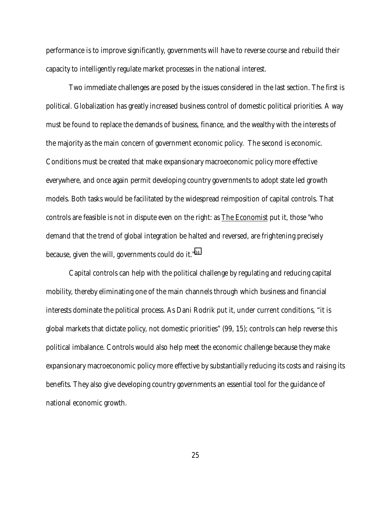performance is to improve significantly, governments will have to reverse course and rebuild their capacity to intelligently regulate market processes in the national interest.

Two immediate challenges are posed by the issues considered in the last section. The first is political. Globalization has greatly increased business control of domestic political priorities. A way must be found to replace the demands of business, finance, and the wealthy with the interests of the majority as the main concern of government economic policy. The second is economic. Conditions must be created that make expansionary macroeconomic policy more effective everywhere, and once again permit developing country governments to adopt state led growth models. Both tasks would be facilitated by the widespread reimposition of capital controls. That controls are feasible is not in dispute even on the right: as The Economist put it, those "who demand that the trend of global integration be halted and reversed, are frightening precisely because, given the will, governments could do it.["34](#page-29-0)

Capital controls can help with the political challenge by regulating and reducing capital mobility, thereby eliminating one of the main channels through which business and financial interests dominate the political process. As Dani Rodrik put it, under current conditions, "it is global markets that dictate policy, not domestic priorities" (99, 15); controls can help reverse this political imbalance. Controls would also help meet the economic challenge because they make expansionary macroeconomic policy more effective by substantially reducing its costs and raising its benefits. They also give developing country governments an essential tool for the guidance of national economic growth.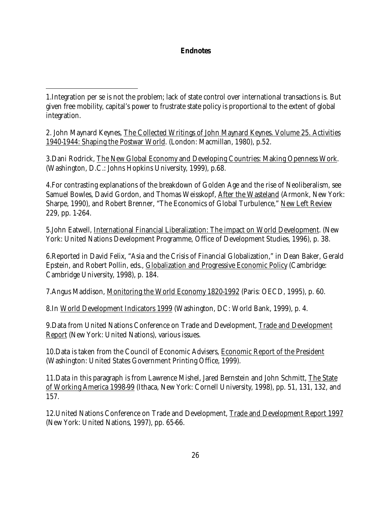### **Endnotes**

 $\overline{a}$ 

2. John Maynard Keynes, The Collected Writings of John Maynard Keynes. Volume 25. Activities 1940-1944: Shaping the Postwar World. (London: Macmillan, 1980), p.52.

3.Dani Rodrick, The New Global Economy and Developing Countries: Making Openness Work. (Washington, D.C.: Johns Hopkins University, 1999), p.68.

4.For contrasting explanations of the breakdown of Golden Age and the rise of Neoliberalism, see Samuel Bowles, David Gordon, and Thomas Weisskopf, After the Wasteland (Armonk, New York: Sharpe, 1990), and Robert Brenner, "The Economics of Global Turbulence," New Left Review 229, pp. 1-264.

5.John Eatwell, International Financial Liberalization: The impact on World Development. (New York: United Nations Development Programme, Office of Development Studies, 1996), p. 38.

6.Reported in David Felix, "Asia and the Crisis of Financial Globalization," in Dean Baker, Gerald Epstein, and Robert Pollin, eds., Globalization and Progressive Economic Policy (Cambridge: Cambridge University, 1998), p. 184.

7.Angus Maddison, Monitoring the World Economy 1820-1992 (Paris: OECD, 1995), p. 60.

8.In World Development Indicators 1999 (Washington, DC: World Bank, 1999), p. 4.

9.Data from United Nations Conference on Trade and Development, Trade and Development Report (New York: United Nations), various issues.

10.Data is taken from the Council of Economic Advisers, Economic Report of the President (Washington: United States Government Printing Office, 1999).

11. Data in this paragraph is from Lawrence Mishel, Jared Bernstein and John Schmitt, The State of Working America 1998-99 (Ithaca, New York: Cornell University, 1998), pp. 51, 131, 132, and 157.

12.United Nations Conference on Trade and Development, Trade and Development Report 1997 (New York: United Nations, 1997), pp. 65-66.

<sup>1.</sup>Integration per se is not the problem; lack of state control over international transactions is. But given free mobility, capital's power to frustrate state policy is proportional to the extent of global integration.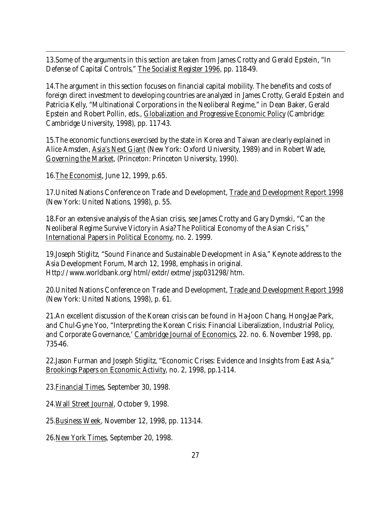13.Some of the arguments in this section are taken from James Crotty and Gerald Epstein, "In Defense of Capital Controls," The Socialist Register 1996, pp. 118-49.

14.The argument in this section focuses on financial capital mobility. The benefits and costs of foreign direct investment to developing countries are analyzed in James Crotty, Gerald Epstein and Patricia Kelly, "Multinational Corporations in the Neoliberal Regime," in Dean Baker, Gerald Epstein and Robert Pollin, eds., Globalization and Progressive Economic Policy (Cambridge: Cambridge University, 1998), pp. 117-43.

15.The economic functions exercised by the state in Korea and Taiwan are clearly explained in Alice Amsden, Asia's Next Giant (New York: Oxford University, 1989) and in Robert Wade, Governing the Market, (Princeton: Princeton University, 1990).

16.The Economist, June 12, 1999, p.65.

 $\overline{a}$ 

17. United Nations Conference on Trade and Development, Trade and Development Report 1998 (New York: United Nations, 1998), p. 55.

18.For an extensive analysis of the Asian crisis, see James Crotty and Gary Dymski, "Can the Neoliberal Regime Survive Victory in Asia? The Political Economy of the Asian Crisis," International Papers in Political Economy, no. 2. 1999.

19.Joseph Stiglitz, "Sound Finance and Sustainable Development in Asia," Keynote address to the Asia Development Forum, March 12, 1998, emphasis in original. Http://www.worldbank.org/html/extdr/extme/jssp031298/htm.

20.United Nations Conference on Trade and Development, Trade and Development Report 1998 (New York: United Nations, 1998), p. 61.

21.An excellent discussion of the Korean crisis can be found in Ha-Joon Chang, Hong-Jae Park, and Chul-Gyne Yoo, "Interpreting the Korean Crisis: Financial Liberalization, Industrial Policy, and Corporate Governance,' Cambridge Journal of Economics, 22. no. 6. November 1998, pp. 735-46.

22.Jason Furman and Joseph Stiglitz, "Economic Crises: Evidence and Insights from East Asia," Brookings Papers on Economic Activity, no. 2, 1998, pp.1-114.

23.Financial Times, September 30, 1998.

24.Wall Street Journal, October 9, 1998.

25.Business Week, November 12, 1998, pp. 113-14.

26.New York Times, September 20, 1998.